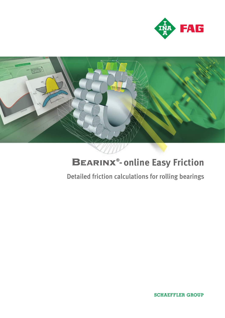



# **- online Easy Friction**

## Detailed friction calculations for rolling bearings

**SCHAEFFLER GROUP**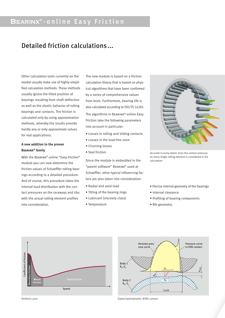### BEARINX<sup>®</sup>- on line Easy Friction

### Detailed friction calculations...

Other calculation tools currently on the market usually make use of highly-simplified calculation methods. These methods usually ignore the tilted position of bearings resulting from shaft deflection as well as the elastic behavior of rolling bearings and contacts. The friction is calculated only by using approximation methods, whereby the results provide hardly any or only approximate values for real applications.

#### **A new addition to the proven Bearinx® family**

With the Bearinx®-online "Easy Friction" module you can now determine the friction values of Schaeffler rolling bearings according to a detailed procedure. And of course, this procedure takes the internal load distribution with the contact pressures on the raceways and ribs with the actual rolling element profiles into consideration.

The new module is based on a friction calculation theory that is based on physical algorithms that have been confirmed by a series of comprehensive values from tests. Furthermore, bearing life is also calculated according to ISO/TS 16281.

The algorithms in Bearinx®-online Easy Friction take the following parameters into account in particular:

- Losses in rolling and sliding contacts
- Losses in the load-free zone
- Churning losses
- Seal friction.

Since the module is embedded in the "parent software" Bearinx® used at Schaeffler, other typical influencing factors are also taken into consideration:

- Radial and axial load
- Tilting of the bearing rings
- Lubricant (viscosity class)
- Temperature



Accurate in every detail: Even the contact pressure on every single rolling element is considered in the calculation

- Precise internal geometry of the bearings
- Internal clearance
- Profiling of bearing components
- Rib geometry.





Stribeck curve Elasto-hydrodynamic (EHD) contact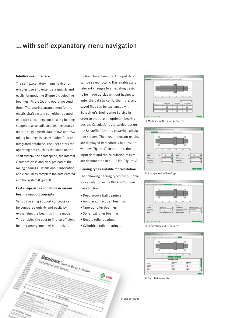### ...with self-explanatory menu navigation

#### **Intuitive user interface**

The self-explanatory menu navigation enables users to enter data quickly and easily for modeling (Figure 1), selecting bearings (Figure 2), and operating conditions. The bearing arrangement for the elastic shaft system can either be modeled with a locating/non-locating bearing support or as an adjusted bearing arrangement. The geometric data of INA and FAG rolling bearings is easily loaded from an integrated database. The user enters the operating data such as the loads on the shaft system, the shaft speed, the internal clearance class and axial preload of the rolling bearings. Details about lubrication and cleanliness complete the data entered into the system (Figure 3).

#### **Fast comparisons of friction in various bearing support concepts**

Various bearing support concepts can be compared quickly and easily by exchanging the bearings in the model. This enables the user to find an efficient bearing arrangement with optimized

friction characteristics. All input data can be saved locally. This enables any relevant changes to an existing design to be made quickly without having to enter the data twice. Furthermore, any saved files can be exchanged with Schaeffler's Engineering Service in order to produce an optimum bearing design. Calculations are carried out on the Schaeffler Group's powerful calculation servers. The most important results are displayed immediately in a results window (Figure 4). In addition, the input data and the calculation results are documented in a PDF file (Figure 5).

#### **Bearing types suitable for calculation**

The following bearing types are suitable for calculation using Bearinx®-online Easy Friction:

- Deep groove ball bearings
- Angular contact ball bearings
- Tapered roller bearings
- Spherical roller bearings
- Needle roller bearings
- Cylindrical roller bearings.





Å Modeling of the shaft geometry



Ç Arrangement of bearings



É Lubrication and cleanliness



**4** Calculation results

Ö List of results